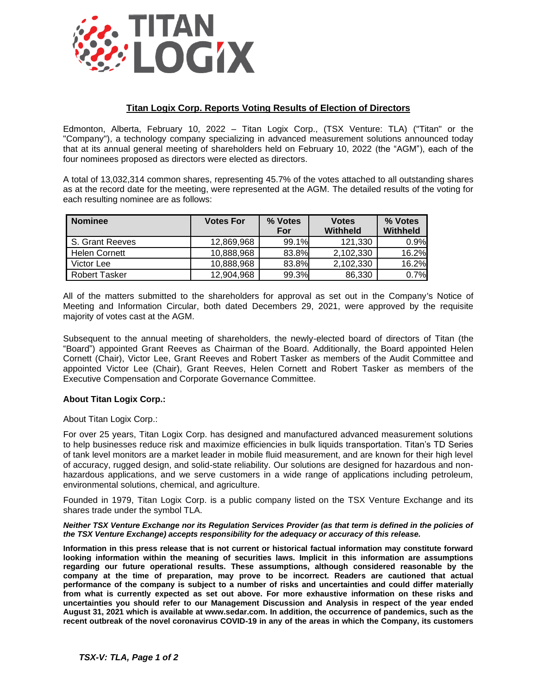

## **Titan Logix Corp. Reports Voting Results of Election of Directors**

Edmonton, Alberta, February 10, 2022 – Titan Logix Corp., (TSX Venture: TLA) ("Titan" or the "Company"), a technology company specializing in advanced measurement solutions announced today that at its annual general meeting of shareholders held on February 10, 2022 (the "AGM"), each of the four nominees proposed as directors were elected as directors.

A total of 13,032,314 common shares, representing 45.7% of the votes attached to all outstanding shares as at the record date for the meeting, were represented at the AGM. The detailed results of the voting for each resulting nominee are as follows:

| <b>Nominee</b>       | <b>Votes For</b> | % Votes<br>For | <b>Votes</b><br>Withheld | % Votes<br>Withheld |
|----------------------|------------------|----------------|--------------------------|---------------------|
| S. Grant Reeves      | 12.869.968       | 99.1%          | 121,330                  | 0.9%                |
| <b>Helen Cornett</b> | 10,888,968       | 83.8%          | 2,102,330                | 16.2%               |
| Victor Lee           | 10,888,968       | 83.8%          | 2,102,330                | 16.2%               |
| <b>Robert Tasker</b> | 12,904,968       | 99.3%          | 86,330                   | 0.7%                |

All of the matters submitted to the shareholders for approval as set out in the Company's Notice of Meeting and Information Circular, both dated Decembers 29, 2021, were approved by the requisite majority of votes cast at the AGM.

Subsequent to the annual meeting of shareholders, the newly-elected board of directors of Titan (the "Board") appointed Grant Reeves as Chairman of the Board. Additionally, the Board appointed Helen Cornett (Chair), Victor Lee, Grant Reeves and Robert Tasker as members of the Audit Committee and appointed Victor Lee (Chair), Grant Reeves, Helen Cornett and Robert Tasker as members of the Executive Compensation and Corporate Governance Committee.

## **About Titan Logix Corp.:**

About Titan Logix Corp.:

For over 25 years, Titan Logix Corp. has designed and manufactured advanced measurement solutions to help businesses reduce risk and maximize efficiencies in bulk liquids transportation. Titan's TD Series of tank level monitors are a market leader in mobile fluid measurement, and are known for their high level of accuracy, rugged design, and solid-state reliability. Our solutions are designed for hazardous and nonhazardous applications, and we serve customers in a wide range of applications including petroleum, environmental solutions, chemical, and agriculture.

Founded in 1979, Titan Logix Corp. is a public company listed on the TSX Venture Exchange and its shares trade under the symbol TLA.

## *Neither TSX Venture Exchange nor its Regulation Services Provider (as that term is defined in the policies of the TSX Venture Exchange) accepts responsibility for the adequacy or accuracy of this release.*

**Information in this press release that is not current or historical factual information may constitute forward looking information within the meaning of securities laws. Implicit in this information are assumptions regarding our future operational results. These assumptions, although considered reasonable by the company at the time of preparation, may prove to be incorrect. Readers are cautioned that actual performance of the company is subject to a number of risks and uncertainties and could differ materially from what is currently expected as set out above. For more exhaustive information on these risks and uncertainties you should refer to our Management Discussion and Analysis in respect of the year ended August 31, 2021 which is available at www.sedar.com. In addition, the occurrence of pandemics, such as the recent outbreak of the novel coronavirus COVID-19 in any of the areas in which the Company, its customers**